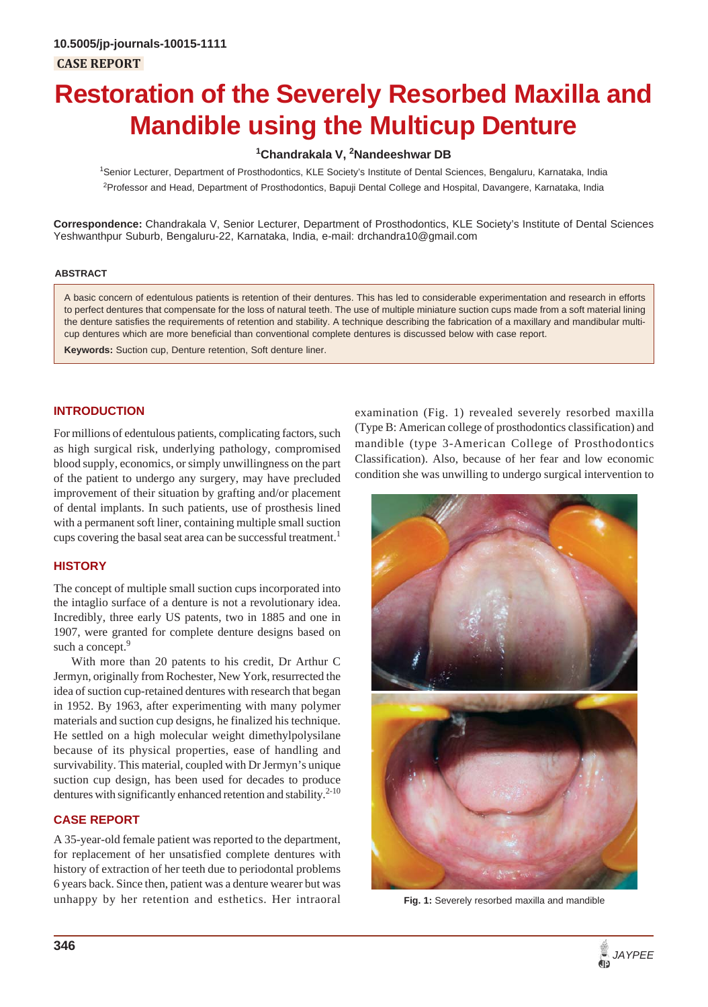# **Restoration of the Severely Resorbed Maxilla and Mandible using the Multicup Denture**

# <sup>1</sup>Chandrakala V, <sup>2</sup>Nandeeshwar DB

1 Senior Lecturer, Department of Prosthodontics, KLE Society's Institute of Dental Sciences, Bengaluru, Karnataka, India <sup>2</sup>Professor and Head, Department of Prosthodontics, Bapuji Dental College and Hospital, Davangere, Karnataka, India

**Correspondence:** Chandrakala V, Senior Lecturer, Department of Prosthodontics, KLE Society's Institute of Dental Sciences Yeshwanthpur Suburb, Bengaluru-22, Karnataka, India, e-mail: drchandra10@gmail.com

#### **ABSTRACT**

A basic concern of edentulous patients is retention of their dentures. This has led to considerable experimentation and research in efforts to perfect dentures that compensate for the loss of natural teeth. The use of multiple miniature suction cups made from a soft material lining the denture satisfies the requirements of retention and stability. A technique describing the fabrication of a maxillary and mandibular multicup dentures which are more beneficial than conventional complete dentures is discussed below with case report.

**Keywords:** Suction cup, Denture retention, Soft denture liner.

#### **INTRODUCTION**

For millions of edentulous patients, complicating factors, such as high surgical risk, underlying pathology, compromised blood supply, economics, or simply unwillingness on the part of the patient to undergo any surgery, may have precluded improvement of their situation by grafting and/or placement of dental implants. In such patients, use of prosthesis lined with a permanent soft liner, containing multiple small suction cups covering the basal seat area can be successful treatment.<sup>1</sup>

#### **HISTORY**

The concept of multiple small suction cups incorporated into the intaglio surface of a denture is not a revolutionary idea. Incredibly, three early US patents, two in 1885 and one in 1907, were granted for complete denture designs based on such a concept.<sup>9</sup>

With more than 20 patents to his credit, Dr Arthur C Jermyn, originally from Rochester, New York, resurrected the idea of suction cup-retained dentures with research that began in 1952. By 1963, after experimenting with many polymer materials and suction cup designs, he finalized his technique. He settled on a high molecular weight dimethylpolysilane because of its physical properties, ease of handling and survivability. This material, coupled with Dr Jermyn's unique suction cup design, has been used for decades to produce dentures with significantly enhanced retention and stability.<sup>2-10</sup>

# **CASE REPORT**

A 35-year-old female patient was reported to the department, for replacement of her unsatisfied complete dentures with history of extraction of her teeth due to periodontal problems 6 years back. Since then, patient was a denture wearer but was unhappy by her retention and esthetics. Her intraoral

examination (Fig. 1) revealed severely resorbed maxilla (Type B: American college of prosthodontics classification) and mandible (type 3-American College of Prosthodontics Classification). Also, because of her fear and low economic condition she was unwilling to undergo surgical intervention to



**Fig. 1:** Severely resorbed maxilla and mandible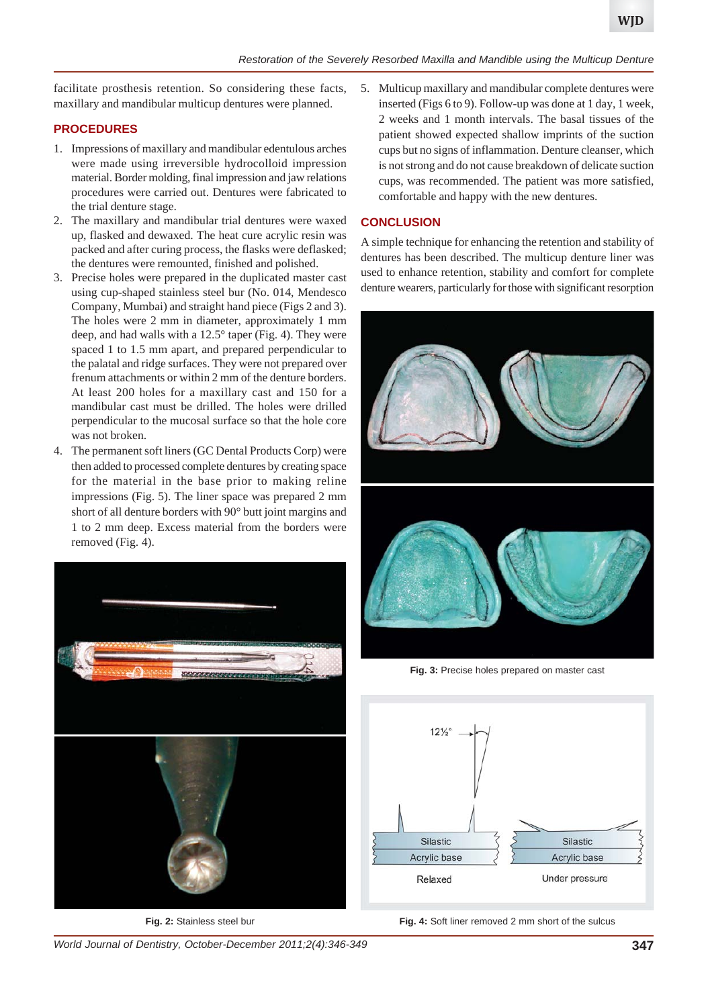facilitate prosthesis retention. So considering these facts, maxillary and mandibular multicup dentures were planned.

# **PROCEDURES**

- 1. Impressions of maxillary and mandibular edentulous arches were made using irreversible hydrocolloid impression material. Border molding, final impression and jaw relations procedures were carried out. Dentures were fabricated to the trial denture stage.
- 2. The maxillary and mandibular trial dentures were waxed up, flasked and dewaxed. The heat cure acrylic resin was packed and after curing process, the flasks were deflasked; the dentures were remounted, finished and polished.
- 3. Precise holes were prepared in the duplicated master cast using cup-shaped stainless steel bur (No. 014, Mendesco Company, Mumbai) and straight hand piece (Figs 2 and 3). The holes were 2 mm in diameter, approximately 1 mm deep, and had walls with a 12.5° taper (Fig. 4). They were spaced 1 to 1.5 mm apart, and prepared perpendicular to the palatal and ridge surfaces. They were not prepared over frenum attachments or within 2 mm of the denture borders. At least 200 holes for a maxillary cast and 150 for a mandibular cast must be drilled. The holes were drilled perpendicular to the mucosal surface so that the hole core was not broken.
- 4. The permanent soft liners (GC Dental Products Corp) were then added to processed complete dentures by creating space for the material in the base prior to making reline impressions (Fig. 5). The liner space was prepared 2 mm short of all denture borders with 90° butt joint margins and 1 to 2 mm deep. Excess material from the borders were removed (Fig. 4).



**Fig. 2:** Stainless steel bur

5. Multicup maxillary and mandibular complete dentures were inserted (Figs 6 to 9). Follow-up was done at 1 day, 1 week, 2 weeks and 1 month intervals. The basal tissues of the patient showed expected shallow imprints of the suction cups but no signs of inflammation. Denture cleanser, which is not strong and do not cause breakdown of delicate suction cups, was recommended. The patient was more satisfied, comfortable and happy with the new dentures.

# **CONCLUSION**

A simple technique for enhancing the retention and stability of dentures has been described. The multicup denture liner was used to enhance retention, stability and comfort for complete denture wearers, particularly for those with significant resorption



**Fig. 3:** Precise holes prepared on master cast



**Fig. 4:** Soft liner removed 2 mm short of the sulcus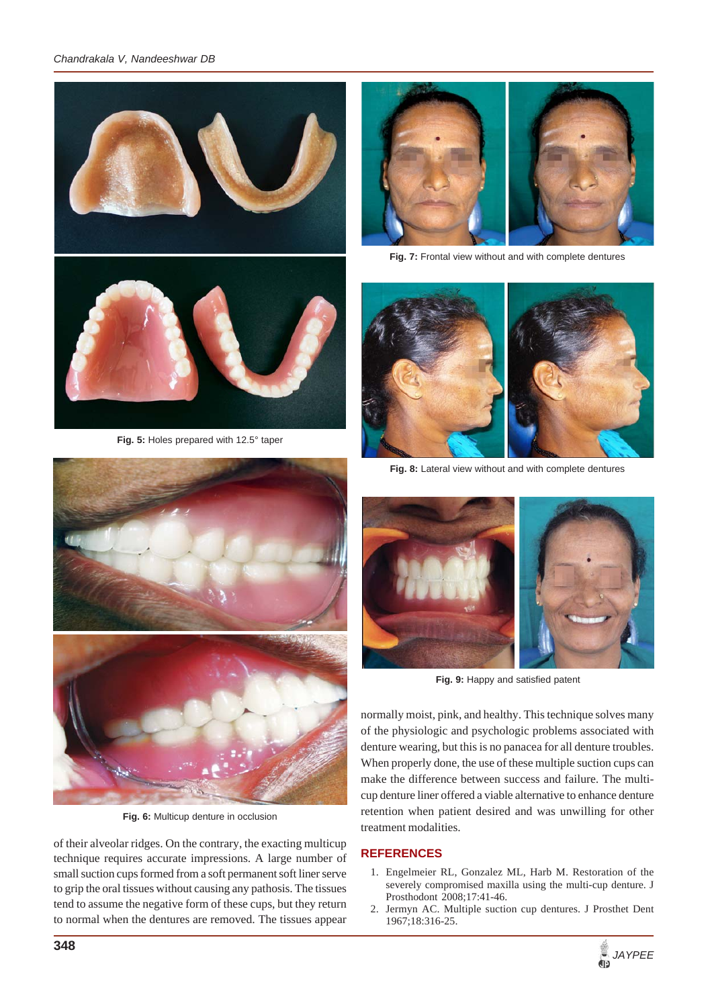# *Chandrakala V, Nandeeshwar DB*



**Fig. 5:** Holes prepared with 12.5° taper



**Fig. 6:** Multicup denture in occlusion

of their alveolar ridges. On the contrary, the exacting multicup technique requires accurate impressions. A large number of small suction cups formed from a soft permanent soft liner serve to grip the oral tissues without causing any pathosis. The tissues tend to assume the negative form of these cups, but they return to normal when the dentures are removed. The tissues appear



**Fig. 7:** Frontal view without and with complete dentures



**Fig. 8:** Lateral view without and with complete dentures



**Fig. 9:** Happy and satisfied patent

normally moist, pink, and healthy. This technique solves many of the physiologic and psychologic problems associated with denture wearing, but this is no panacea for all denture troubles. When properly done, the use of these multiple suction cups can make the difference between success and failure. The multicup denture liner offered a viable alternative to enhance denture retention when patient desired and was unwilling for other treatment modalities.

# **REFERENCES**

- 1. Engelmeier RL, Gonzalez ML, Harb M. Restoration of the severely compromised maxilla using the multi-cup denture. J Prosthodont 2008;17:41-46.
- 2. Jermyn AC. Multiple suction cup dentures. J Prosthet Dent 1967;18:316-25.